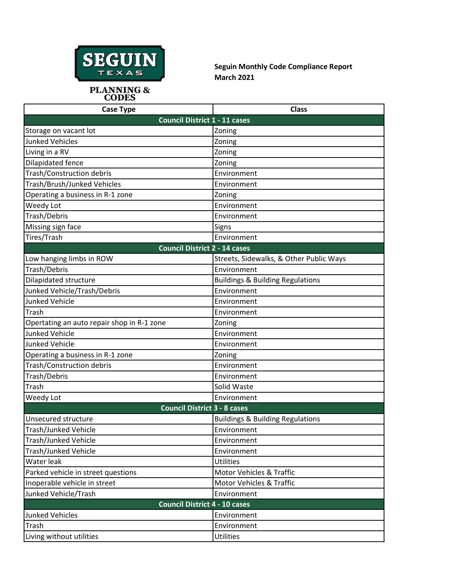

**Seguin Monthly Code Compliance Report March 2021**

PLANNING &<br>CODES

| <b>Case Type</b>                           | <b>Class</b>                                |  |
|--------------------------------------------|---------------------------------------------|--|
| <b>Council District 1 - 11 cases</b>       |                                             |  |
| Storage on vacant lot                      | Zoning                                      |  |
| <b>Junked Vehicles</b>                     | Zoning                                      |  |
| Living in a RV                             | Zoning                                      |  |
| Dilapidated fence                          | Zoning                                      |  |
| Trash/Construction debris                  | Environment                                 |  |
| Trash/Brush/Junked Vehicles                | Environment                                 |  |
| Operating a business in R-1 zone           | Zoning                                      |  |
| Weedy Lot                                  | Environment                                 |  |
| Trash/Debris                               | Environment                                 |  |
| Missing sign face                          | Signs                                       |  |
| Tires/Trash                                | Environment                                 |  |
| <b>Council District 2 - 14 cases</b>       |                                             |  |
| Low hanging limbs in ROW                   | Streets, Sidewalks, & Other Public Ways     |  |
| Trash/Debris                               | Environment                                 |  |
| Dilapidated structure                      | <b>Buildings &amp; Building Regulations</b> |  |
| Junked Vehicle/Trash/Debris                | Environment                                 |  |
| <b>Junked Vehicle</b>                      | Environment                                 |  |
| Trash                                      | Environment                                 |  |
| Opertating an auto repair shop in R-1 zone | Zoning                                      |  |
| <b>Junked Vehicle</b>                      | Environment                                 |  |
| <b>Junked Vehicle</b>                      | Environment                                 |  |
| Operating a business in R-1 zone           | Zoning                                      |  |
| <b>Trash/Construction debris</b>           | Environment                                 |  |
| Trash/Debris                               | Environment                                 |  |
| Trash                                      | Solid Waste                                 |  |
| Weedy Lot                                  | Environment                                 |  |
| <b>Council District 3 - 8 cases</b>        |                                             |  |
| Unsecured structure                        | <b>Buildings &amp; Building Regulations</b> |  |
| <b>Trash/Junked Vehicle</b>                | Environment                                 |  |
| Trash/Junked Vehicle                       | Environment                                 |  |
| Trash/Junked Vehicle                       | Environment                                 |  |
| Water leak                                 | <b>Utilities</b>                            |  |
| Parked vehicle in street questions         | <b>Motor Vehicles &amp; Traffic</b>         |  |
| Inoperable vehicle in street               | <b>Motor Vehicles &amp; Traffic</b>         |  |
| Junked Vehicle/Trash                       | Environment                                 |  |
| <b>Council District 4 - 10 cases</b>       |                                             |  |
| <b>Junked Vehicles</b>                     | Environment                                 |  |
| Trash                                      | Environment                                 |  |
| Living without utilities                   | <b>Utilities</b>                            |  |